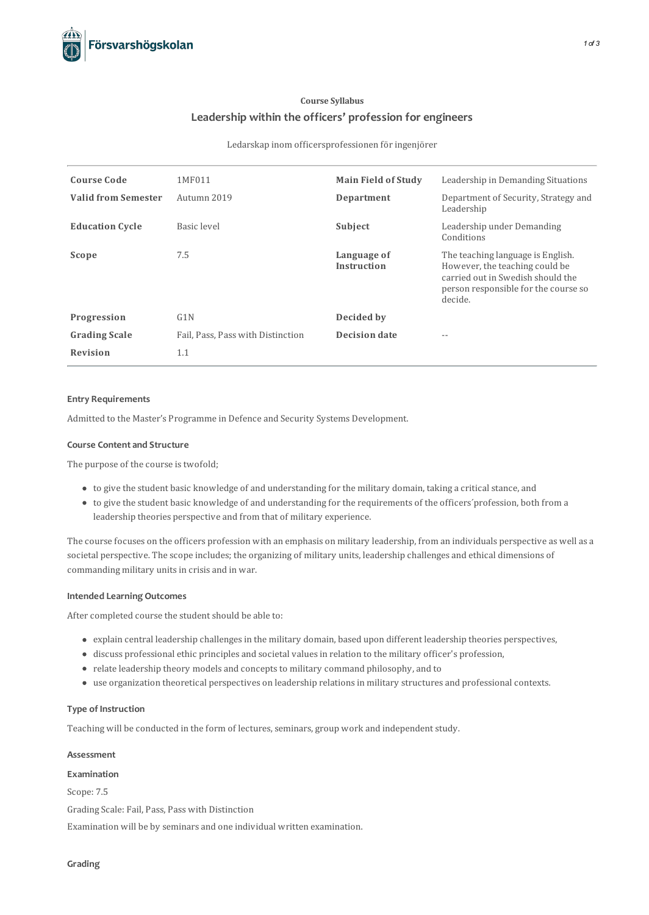# **Course Syllabus Leadership within the officers' profession for engineers**

#### Ledarskap inom officersprofessionen för ingenjörer

| <b>Course Code</b>         | 1MF011                            | <b>Main Field of Study</b>        | Leadership in Demanding Situations                                                                                                                          |
|----------------------------|-----------------------------------|-----------------------------------|-------------------------------------------------------------------------------------------------------------------------------------------------------------|
| <b>Valid from Semester</b> | Autumn 2019                       | Department                        | Department of Security, Strategy and<br>Leadership                                                                                                          |
| <b>Education Cycle</b>     | Basic level                       | Subject                           | Leadership under Demanding<br>Conditions                                                                                                                    |
| Scope                      | 7.5                               | Language of<br><b>Instruction</b> | The teaching language is English.<br>However, the teaching could be<br>carried out in Swedish should the<br>person responsible for the course so<br>decide. |
| Progression                | G1N                               | Decided by                        |                                                                                                                                                             |
| <b>Grading Scale</b>       | Fail, Pass, Pass with Distinction | <b>Decision date</b>              |                                                                                                                                                             |
| <b>Revision</b>            | 1.1                               |                                   |                                                                                                                                                             |

### **Entry Requirements**

Admitted to the Master's Programme in Defence and Security Systems Development.

### **Course Contentand Structure**

The purpose of the course is twofold;

- to give the student basic knowledge of and understanding for the military domain, taking a criticalstance, and
- to give the student basic knowledge of and understanding for the requirements of the officers´profession, both from a leadership theories perspective and from that of military experience.

The course focuses on the officers profession with an emphasis on military leadership, from an individuals perspective as well as a societal perspective. The scope includes; the organizing of military units, leadership challenges and ethical dimensions of commanding military units in crisis and in war.

# **Intended Learning Outcomes**

After completed course the student should be able to:

- explain central leadership challengesin the military domain, based upon different leadership theories perspectives,
- discuss professional ethic principles and societal valuesin relation to the military officer's profession,
- relate leadership theory models and conceptsto military command philosophy, and to
- use organization theoretical perspectives on leadership relationsin military structures and professionalcontexts.

# **Type of Instruction**

Teaching will be conducted in the form of lectures, seminars, group work and independent study.

### **Assessment**

#### **Examination**

Scope: 7.5

Grading Scale: Fail, Pass, Pass with Distinction

Examination will be by seminars and one individual written examination.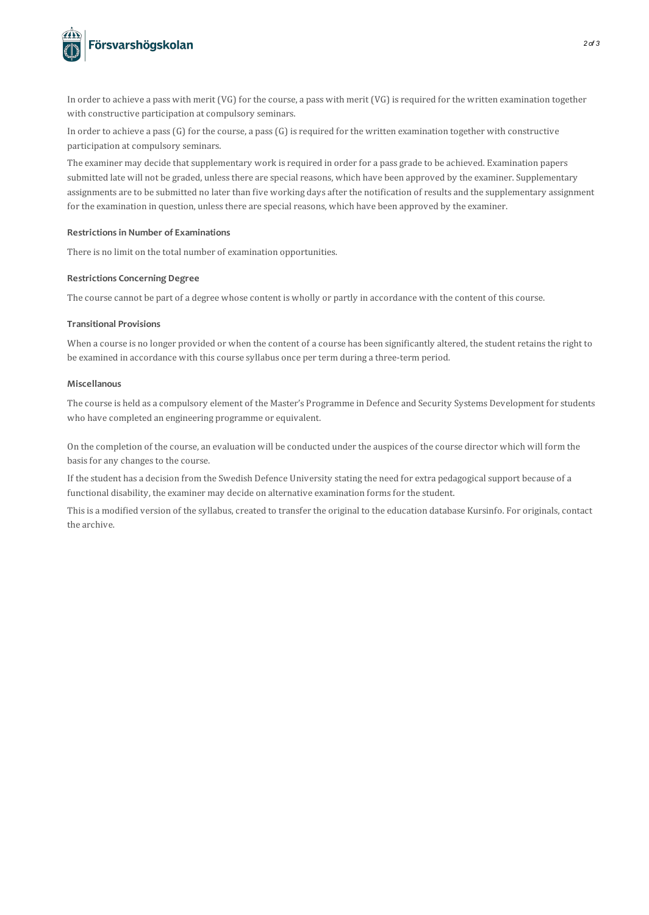

In order to achieve a pass with merit (VG) for the course, a pass with merit (VG) isrequired for the written examination together with constructive participation at compulsory seminars.

In order to achieve a pass  $(G)$  for the course, a pass  $(G)$  is required for the written examination together with constructive participation at compulsory seminars.

The examiner may decide that supplementary work is required in order for a pass grade to be achieved. Examination papers submitted late will not be graded, unless there are special reasons, which have been approved by the examiner. Supplementary assignments are to be submitted no later than five working days after the notification of results and the supplementary assignment for the examination in question, unless there are special reasons, which have been approved by the examiner.

# **Restrictionsin Number of Examinations**

There is no limit on the total number of examination opportunities.

# **Restrictions Concerning Degree**

The course cannot be part of a degree whose content is wholly or partly in accordance with the content of thiscourse.

### **Transitional Provisions**

When a course is no longer provided or when the content of a course has been significantly altered, the student retains the right to be examined in accordance with thiscourse syllabus once per term during a three-term period.

### **Miscellanous**

The course is held as a compulsory element of the Master's Programme in Defence and Security Systems Development forstudents who have completed an engineering programme or equivalent.

On the completion of the course, an evaluation will be conducted under the auspices of the course director which will form the basis for any changes to the course.

If the student has a decision from the Swedish Defence University stating the need for extra pedagogicalsupport because of a functional disability, the examiner may decide on alternative examination formsfor the student.

This is a modified version of the syllabus, created to transfer the original to the education database Kursinfo. For originals, contact the archive.